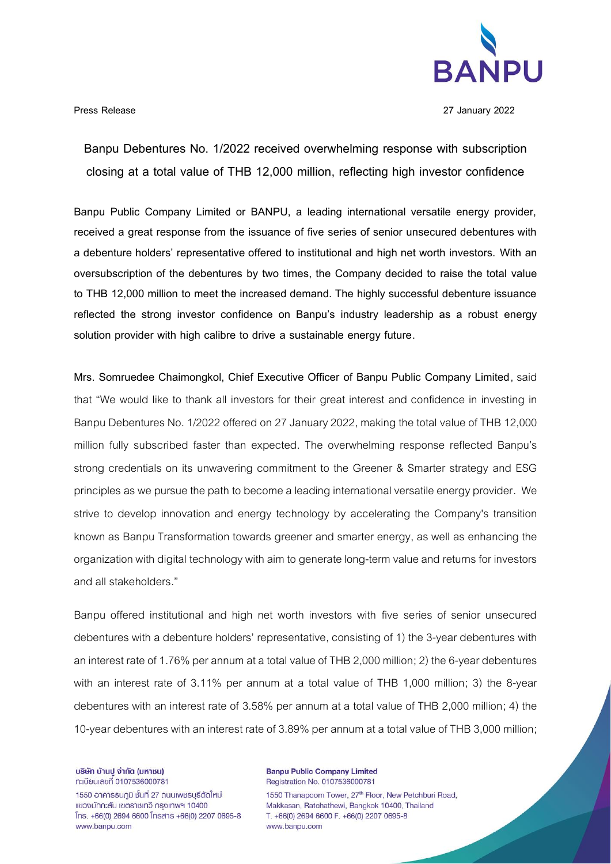

**Press Release 27 January 2022**

**Banpu Debentures No. 1/2022 received overwhelming response with subscription closing at a total value of THB 12,000 million, reflecting high investor confidence**

**Banpu Public Company Limited or BANPU, a leading international versatile energy provider, received a great response from the issuance of five series of senior unsecured debentures with a debenture holders' representative offered to institutional and high net worth investors. With an oversubscription of the debentures by two times, the Company decided to raise the total value to THB 12,000 million to meet the increased demand. The highly successful debenture issuance reflected the strong investor confidence on Banpu's industry leadership as a robust energy solution provider with high calibre to drive a sustainable energy future.** 

**Mrs. Somruedee Chaimongkol, Chief Executive Officer of Banpu Public Company Limited**, said that "We would like to thank all investors for their great interest and confidence in investing in Banpu Debentures No. 1/2022 offered on 27 January 2022, making the total value of THB 12,000 million fully subscribed faster than expected. The overwhelming response reflected Banpu's strong credentials on its unwavering commitment to the Greener & Smarter strategy and ESG principles as we pursue the path to becomea leading international versatile energy provider. We strive to develop innovation and energy technology by accelerating the Company's transition known as Banpu Transformation towards greener and smarter energy, as well as enhancing the organization with digital technology with aim to generate long-term value and returns for investors and all stakeholders."

Banpu offered institutional and high net worth investors with five series of senior unsecured debentures with a debenture holders' representative, consisting of 1) the 3-year debentures with an interest rate of 1.76% per annum at a total value of THB 2,000 million; 2) the 6-year debentures with an interest rate of 3.11% per annum at a total value of THB 1,000 million; 3) the 8-year debentures with an interest rate of 3.58% per annum at a total value of THB 2,000 million; 4) the 10-year debentures with an interest rate of 3.89% per annum at a total value of THB 3,000 million;

บริษัท บ้านปู จำกัด (มหาชน) n:เบียนเลขที่ 0107536000781

1550 อาคารธนกมิ ชั้นที่ 27 ถนนเพชรบรีตัดใหม่ แขวงมักกะสัน เขตราชเทวี กรงเทพฯ 10400  $[ns. +66(0) 2694 6600]$  insans  $+66(0) 2207 0695-8$ www.banpu.com

**Banpu Public Company Limited** Registration No. 0107536000781

1550 Thanapoom Tower, 27th Floor, New Petchburi Road, Makkasan, Ratchathewi, Bangkok 10400, Thailand T. +66(0) 2694 6600 F. +66(0) 2207 0695-8 www.banpu.com